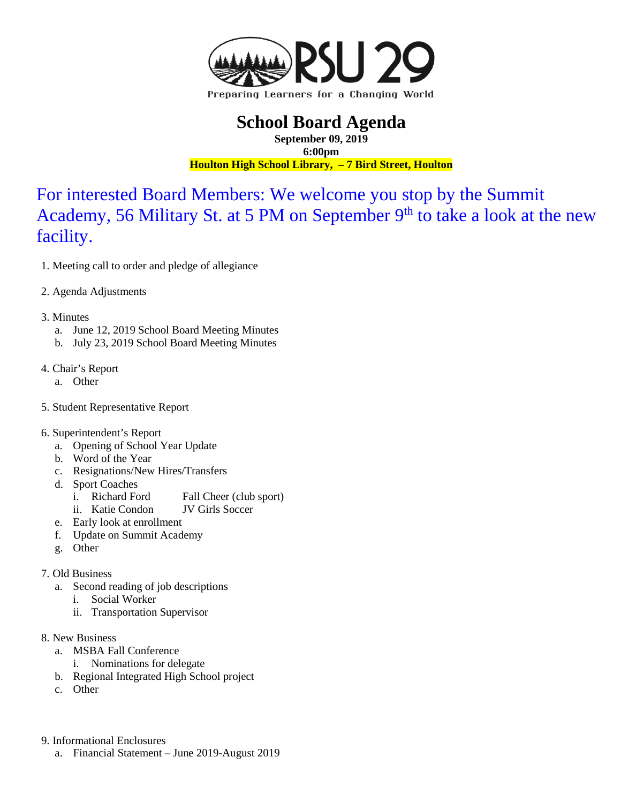

## **School Board Agenda**

**September 09, 2019 6:00pm Houlton High School Library, – 7 Bird Street, Houlton**

For interested Board Members: We welcome you stop by the Summit Academy, 56 Military St. at 5 PM on September  $9<sup>th</sup>$  to take a look at the new facility.

- 1. Meeting call to order and pledge of allegiance
- 2. Agenda Adjustments
- 3. Minutes
	- a. June 12, 2019 School Board Meeting Minutes
	- b. July 23, 2019 School Board Meeting Minutes
- 4. Chair's Report
	- a. Other
- 5. Student Representative Report
- 6. Superintendent's Report
	- a. Opening of School Year Update
	- b. Word of the Year
	- c. Resignations/New Hires/Transfers
	- d. Sport Coaches
		- i. Richard Ford Fall Cheer (club sport)
		- ii. Katie Condon JV Girls Soccer
	- e. Early look at enrollment
	- f. Update on Summit Academy
	- g. Other

## 7. Old Business

- a. Second reading of job descriptions
	- i. Social Worker
	- ii. Transportation Supervisor
- 8. New Business
	- a. MSBA Fall Conference
		- i. Nominations for delegate
	- b. Regional Integrated High School project
	- c. Other
- 9. Informational Enclosures
	- a. Financial Statement June 2019-August 2019